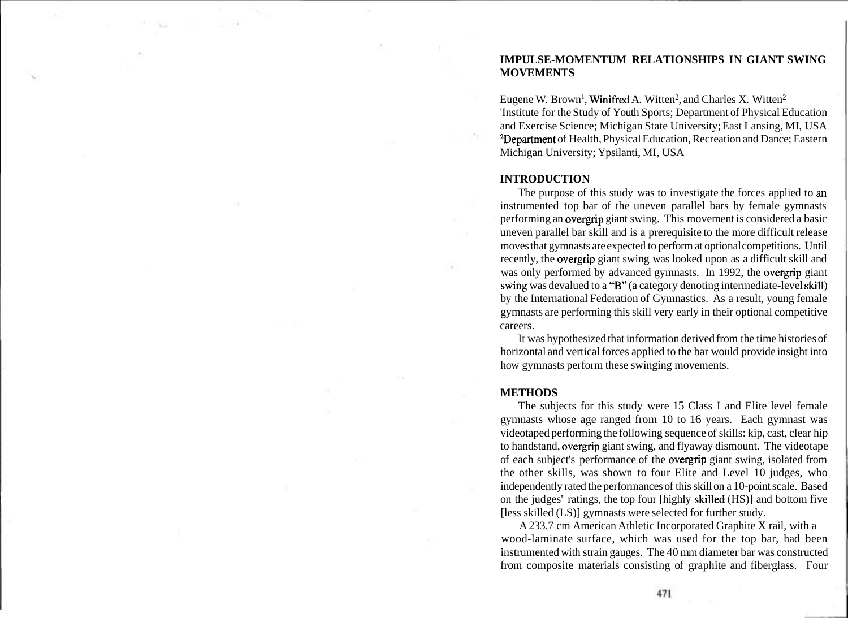# **IMPULSE-MOMENTUM RELATIONSHIPS IN GIANT SWING MOVEMENTS**

Eugene W. Brown<sup>1</sup>, **Winifred** A. Witten<sup>2</sup>, and Charles X. Witten<sup>2</sup> 'Institute for the Study of Youth Sports; Department of Physical Education and Exercise Science; Michigan State University; East Lansing, MI, USA <sup>2</sup>Department of Health, Physical Education, Recreation and Dance; Eastern Michigan University; Ypsilanti, MI, USA

#### **INTRODUCTION**

The purpose of this study was to investigate the forces applied to **an**  instrumented top bar of the uneven parallel bars by female gymnasts performing an overgrip giant swing. This movement is considered a basic uneven parallel bar skill and is a prerequisite to the more difficult release moves that gymnasts are expected to perform at optional competitions. Until recently, the overgrip giant swing was looked upon as a difficult skill and was only performed by advanced gymnasts. In 1992, the overgrip giant swihg was devalued to a "B" (a category denoting intermediate-level skill) by the International Federation of Gymnastics. As a result, young female gymnasts are performing this skill very early in their optional competitive careers.

It was hypothesized that information derived from the time histories of horizontal and vertical forces applied to the bar would provide insight into how gymnasts perform these swinging movements.

#### **METHODS**

The subjects for this study were 15 Class I and Elite level female gymnasts whose age ranged from 10 to 16 years. Each gymnast was videotaped performing the following sequence of skills: kip, cast, clear hip to handstand, overgrip giant swing, and flyaway dismount. The videotape of each subject's performance of the overgrip giant swing, isolated from the other skills, was shown to four Elite and Level 10 judges, who independently rated the performances of this skill on a 10-point scale. Based on the judges' ratings, the top four [highly skilled (HS)] and bottom five [less skilled (LS)] gymnasts were selected for further study.

A 233.7 cm American Athletic Incorporated Graphite X rail, with a wood-laminate surface, which was used for the top bar, had been instrumented with strain gauges. The 40 mm diameter bar was constructed from composite materials consisting of graphite and fiberglass. Four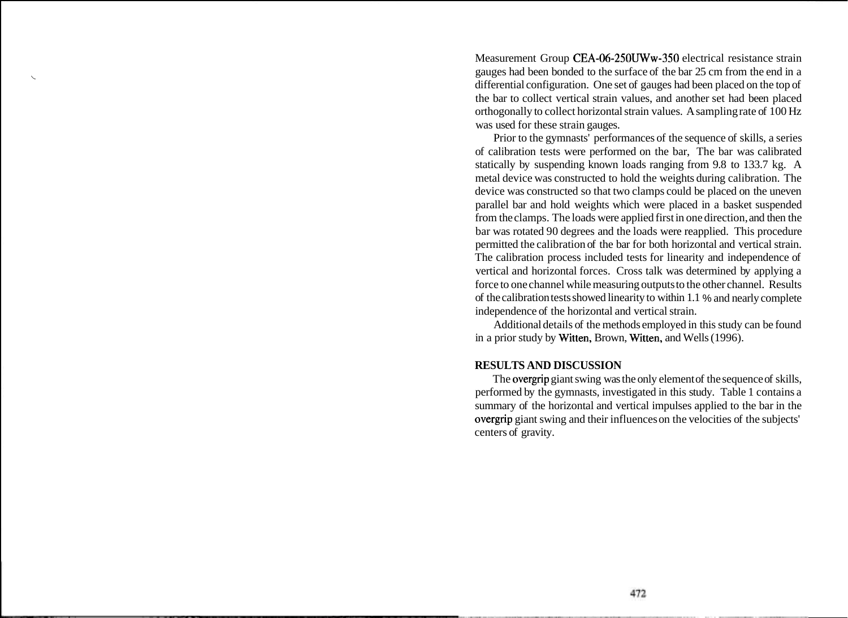Measurement Group CEA-06-250UWw-350 electrical resistance strain gauges had been bonded to the surface of the bar 25 cm from the end in a differential configuration. One set of gauges had been placed on the top of the bar to collect vertical strain values, and another set had been placed orthogonally to collect horizontal strain values. A sampling rate of 100 Hz was used for these strain gauges.

Prior to the gymnasts' performances of the sequence of skills, a series of calibration tests were performed on the bar, The bar was calibrated statically by suspending known loads ranging from 9.8 to 133.7 kg. A metal device was constructed to hold the weights during calibration. The device was constructed so that two clamps could be placed on the uneven parallel bar and hold weights which were placed in a basket suspended from the clamps. The loads were applied first in one direction, and then the bar was rotated 90 degrees and the loads were reapplied. This procedure permitted the calibration of the bar for both horizontal and vertical strain. The calibration process included tests for linearity and independence of vertical and horizontal forces. Cross talk was determined by applying a force to one channel while measuring outputs to the other channel. Results of the calibration tests showed linearity to within 1.1 % and nearly complete independence of the horizontal and vertical strain.

Additional details of the methods employed in this study can be found in a prior study by Witten, Brown, Witten, and Wells (1996).

## **RESULTS AND DISCUSSION**

The overgrip giant swing was the only element of the sequence of skills, performed by the gymnasts, investigated in this study. Table 1 contains a summary of the horizontal and vertical impulses applied to the bar in the overgrip giant swing and their influences on the velocities of the subjects' centers of gravity.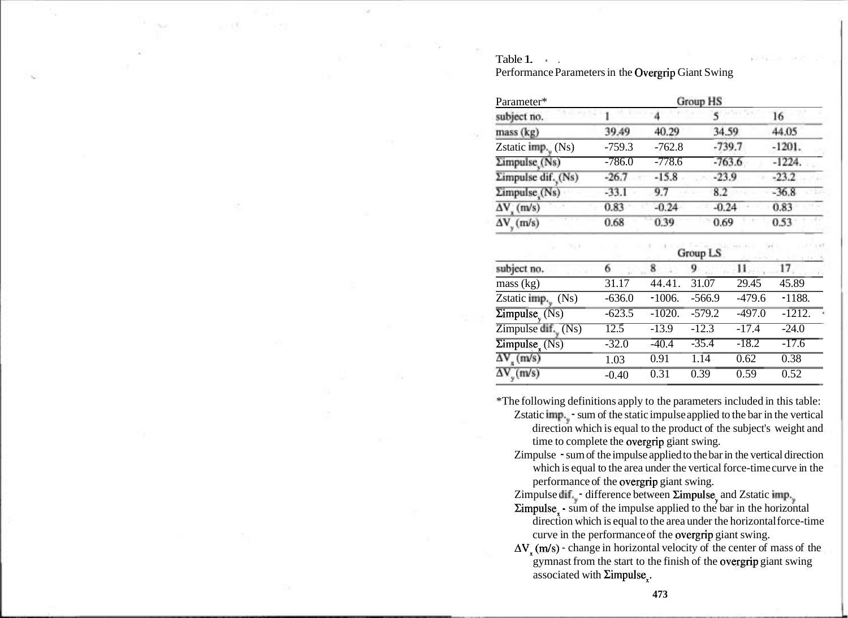#### Table 1.

Performance Parameters in the Overgrip Giant Swing

| Parameter*                           |          |          |          |          |
|--------------------------------------|----------|----------|----------|----------|
| subject no.                          |          |          |          | 16       |
| mass (kg)                            | 39.49    | 40.29    | 34.59    | 44.05    |
| Zstatic $\text{imp.}_{\text{v}}(Ns)$ | $-759.3$ | $-762.8$ | $-739.7$ | $-1201.$ |
| Zimpulse <sub>(Ns)</sub>             | $-786.0$ | $-778.6$ | $-763.6$ | $-1224.$ |
| Σimpulse dif. (Ns)                   | $-26.7$  | $-15.8$  | $-23.9$  | $-23.2$  |
| $\Sigma$ impulse (Ns)                | $-33.1$  | 9.7      | 8.2      | $-36.8$  |
| $\Delta V$ <sub>x</sub> (m/s)        | 0.83     | $-0.24$  | $-0.24$  | 0.83     |
| $\Delta V_{v}$ (m/s)                 | 0.68     | 0.39     | 0.69     | 0.53     |

| subject no.                                   | Group LS |          |          |          |          |  |
|-----------------------------------------------|----------|----------|----------|----------|----------|--|
|                                               |          |          | Q        |          | 17       |  |
| mass (kg)                                     | 31.17    | 44.41.   | 31.07    | 29.45    | 45.89    |  |
| Zstatic $\lim_{y \to y} (Ns)$                 | $-636.0$ | $-1006.$ | $-566.9$ | $-479.6$ | $-1188.$ |  |
| $\overline{\Sigma}$ impulse <sub>v</sub> (Ns) | $-623.5$ | $-1020.$ | $-579.2$ | $-497.0$ | $-1212.$ |  |
| Zimpulse dif., $(Ns)$                         | 12.5     | $-13.9$  | $-12.3$  | $-17.4$  | $-24.0$  |  |
| $\overline{\text{Zimpulse}_{x}(\text{Ns})}$   | $-32.0$  | $-40.4$  | $-35.4$  | $-18.2$  | $-17.6$  |  |
| $\Delta V_{\rm g}$ (m/s)                      | 1.03     | 0.91     | 1.14     | 0.62     | 0.38     |  |
| $\Delta V_{y}$ (m/s)                          | $-0.40$  | 0.31     | 0.39     | 0.59     | 0.52     |  |

\*The following definitions apply to the parameters included in this table:

- Zstatic lmp.<sub>y</sub> sum of the static impulse applied to the bar in the vertical direction which is equal to the product of the subject's weight and time to complete the overgrip giant swing.
- Zimpulse sum of the impulse applied to the bar in the vertical direction which is equal to the area under the vertical force-time curve in the performance of the overgrip giant swing.

Zimpulse dif.<sub>y</sub> - difference between  $\Sigma$ impulse<sub>y</sub> and Zstatic imp.<sub>y</sub>

- $\Sigma$ impulse $\frac{1}{x}$  sum of the impulse applied to the bar in the horizontal direction which is equal to the area under the horizontal force-time curve in the performance of the overgrip giant swing.
- $\Delta V$ , (m/s) change in horizontal velocity of the center of mass of the gymnast from the start to the finish of the overgrip giant swing associated with  $\Sigma$ impulse<sub>r</sub>.